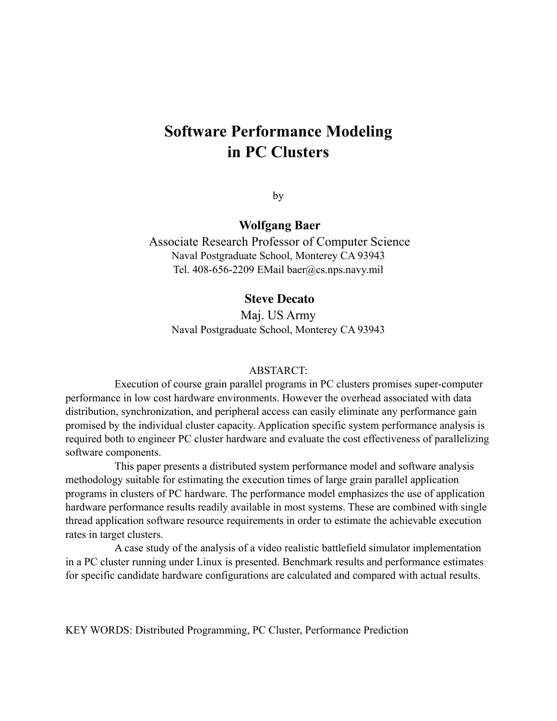# **Software Performance Modeling in PC Clusters**

by

## **Wolfgang Baer**

 Associate Research Professor of Computer Science Naval Postgraduate School, Monterey CA 93943 Tel. 408-656-2209 EMail baer@cs.nps.navy.mil

#### **Steve Decato**

Maj. US Army Naval Postgraduate School, Monterey CA 93943

#### ABSTARCT:

Execution of course grain parallel programs in PC clusters promises super-computer performance in low cost hardware environments. However the overhead associated with data distribution, synchronization, and peripheral access can easily eliminate any performance gain promised by the individual cluster capacity. Application specific system performance analysis is required both to engineer PC cluster hardware and evaluate the cost effectiveness of parallelizing software components.

This paper presents a distributed system performance model and software analysis methodology suitable for estimating the execution times of large grain parallel application programs in clusters of PC hardware. The performance model emphasizes the use of application hardware performance results readily available in most systems. These are combined with single thread application software resource requirements in order to estimate the achievable execution rates in target clusters.

A case study of the analysis of a video realistic battlefield simulator implementation in a PC cluster running under Linux is presented. Benchmark results and performance estimates for specific candidate hardware configurations are calculated and compared with actual results.

KEY WORDS: Distributed Programming, PC Cluster, Performance Prediction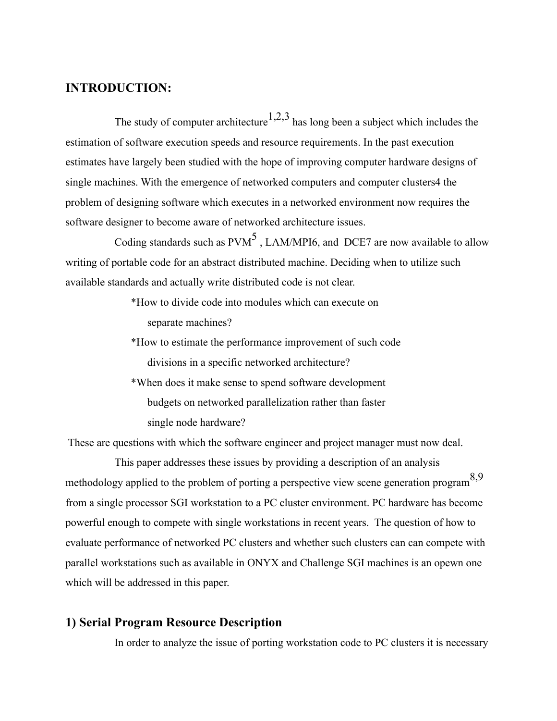## **INTRODUCTION:**

The study of computer architecture<sup>1,2,3</sup> has long been a subject which includes the estimation of software execution speeds and resource requirements. In the past execution estimates have largely been studied with the hope of improving computer hardware designs of single machines. With the emergence of networked computers and computer clusters4 the problem of designing software which executes in a networked environment now requires the software designer to become aware of networked architecture issues.

Coding standards such as  $PVM<sup>5</sup>$ , LAM/MPI6, and DCE7 are now available to allow writing of portable code for an abstract distributed machine. Deciding when to utilize such available standards and actually write distributed code is not clear.

- \*How to divide code into modules which can execute on separate machines?
- \*How to estimate the performance improvement of such code divisions in a specific networked architecture?
- \*When does it make sense to spend software development budgets on networked parallelization rather than faster single node hardware?

These are questions with which the software engineer and project manager must now deal.

This paper addresses these issues by providing a description of an analysis methodology applied to the problem of porting a perspective view scene generation program  $8,9$ from a single processor SGI workstation to a PC cluster environment. PC hardware has become powerful enough to compete with single workstations in recent years. The question of how to evaluate performance of networked PC clusters and whether such clusters can can compete with parallel workstations such as available in ONYX and Challenge SGI machines is an opewn one which will be addressed in this paper.

## **1) Serial Program Resource Description**

In order to analyze the issue of porting workstation code to PC clusters it is necessary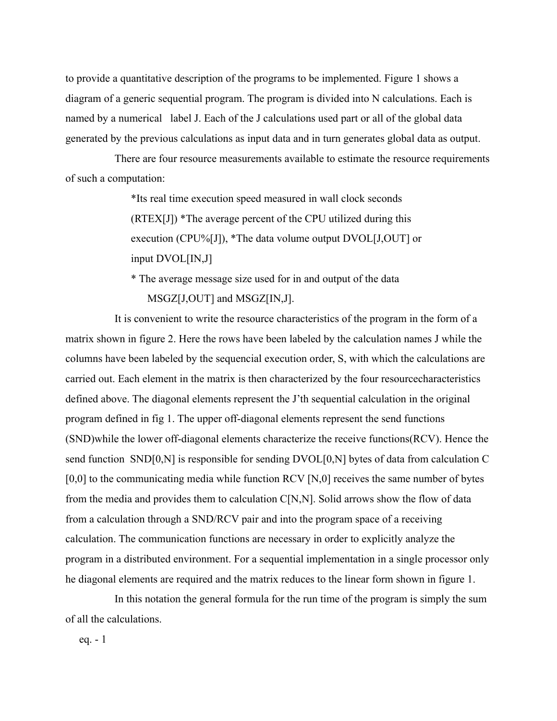to provide a quantitative description of the programs to be implemented. Figure 1 shows a diagram of a generic sequential program. The program is divided into N calculations. Each is named by a numerical label J. Each of the J calculations used part or all of the global data generated by the previous calculations as input data and in turn generates global data as output.

There are four resource measurements available to estimate the resource requirements of such a computation:

> \*Its real time execution speed measured in wall clock seconds (RTEX[J]) \*The average percent of the CPU utilized during this execution (CPU%[J]), \*The data volume output DVOL[J,OUT] or input DVOL[IN,J]

\* The average message size used for in and output of the data MSGZ[J,OUT] and MSGZ[IN,J].

It is convenient to write the resource characteristics of the program in the form of a matrix shown in figure 2. Here the rows have been labeled by the calculation names J while the columns have been labeled by the sequencial execution order, S, with which the calculations are carried out. Each element in the matrix is then characterized by the four resourcecharacteristics defined above. The diagonal elements represent the J'th sequential calculation in the original program defined in fig 1. The upper off-diagonal elements represent the send functions (SND)while the lower off-diagonal elements characterize the receive functions(RCV). Hence the send function SND[0,N] is responsible for sending DVOL[0,N] bytes of data from calculation C  $[0,0]$  to the communicating media while function RCV  $[N,0]$  receives the same number of bytes from the media and provides them to calculation C[N,N]. Solid arrows show the flow of data from a calculation through a SND/RCV pair and into the program space of a receiving calculation. The communication functions are necessary in order to explicitly analyze the program in a distributed environment. For a sequential implementation in a single processor only he diagonal elements are required and the matrix reduces to the linear form shown in figure 1.

In this notation the general formula for the run time of the program is simply the sum of all the calculations.

eq. - 1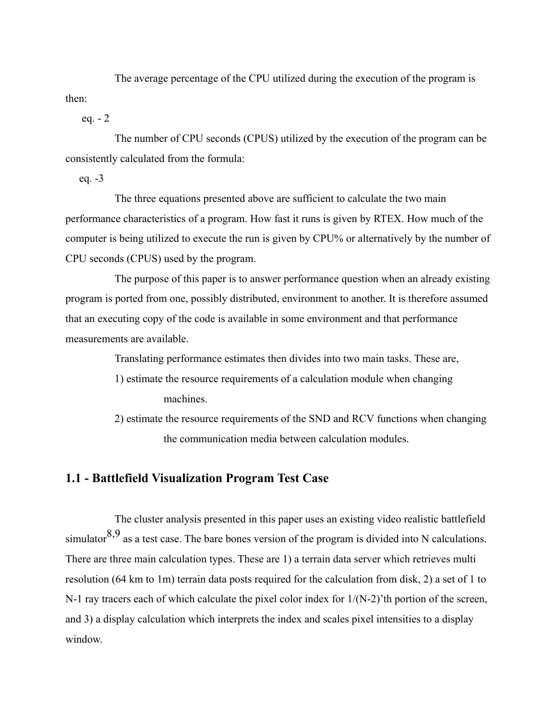The average percentage of the CPU utilized during the execution of the program is then:

eq. - 2

The number of CPU seconds (CPUS) utilized by the execution of the program can be consistently calculated from the formula:

eq. -3

The three equations presented above are sufficient to calculate the two main performance characteristics of a program. How fast it runs is given by RTEX. How much of the computer is being utilized to execute the run is given by CPU% or alternatively by the number of CPU seconds (CPUS) used by the program.

The purpose of this paper is to answer performance question when an already existing program is ported from one, possibly distributed, environment to another. It is therefore assumed that an executing copy of the code is available in some environment and that performance measurements are available.

Translating performance estimates then divides into two main tasks. These are,

- 1) estimate the resource requirements of a calculation module when changing machines.
- 2) estimate the resource requirements of the SND and RCV functions when changing the communication media between calculation modules.

#### **1.1 - Battlefield Visualization Program Test Case**

The cluster analysis presented in this paper uses an existing video realistic battlefield simulator  $8.9$  as a test case. The bare bones version of the program is divided into N calculations. There are three main calculation types. These are 1) a terrain data server which retrieves multi resolution (64 km to 1m) terrain data posts required for the calculation from disk, 2) a set of 1 to N-1 ray tracers each of which calculate the pixel color index for  $1/(N-2)$ 'th portion of the screen, and 3) a display calculation which interprets the index and scales pixel intensities to a display window.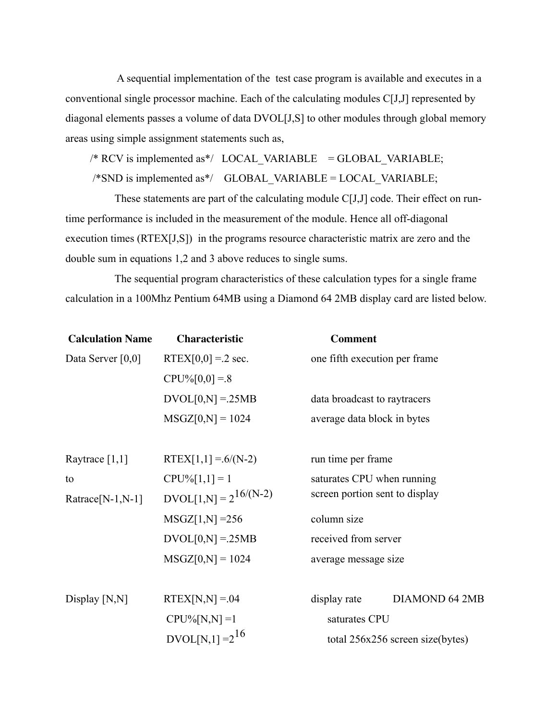A sequential implementation of the test case program is available and executes in a conventional single processor machine. Each of the calculating modules C[J,J] represented by diagonal elements passes a volume of data DVOL[J,S] to other modules through global memory areas using simple assignment statements such as,

 $/*$  RCV is implemented as\*/ LOCAL\_VARIABLE = GLOBAL\_VARIABLE;

 $/*SND$  is implemented as\*/ GLOBAL VARIABLE = LOCAL VARIABLE;

These statements are part of the calculating module C[J,J] code. Their effect on runtime performance is included in the measurement of the module. Hence all off-diagonal execution times (RTEX[J,S]) in the programs resource characteristic matrix are zero and the double sum in equations 1,2 and 3 above reduces to single sums.

The sequential program characteristics of these calculation types for a single frame calculation in a 100Mhz Pentium 64MB using a Diamond 64 2MB display card are listed below.

| RTEX $[0,0] = 2$ sec.<br>one fifth execution per frame |                                                                                                                                                                                                                                              |  |  |  |
|--------------------------------------------------------|----------------------------------------------------------------------------------------------------------------------------------------------------------------------------------------------------------------------------------------------|--|--|--|
|                                                        |                                                                                                                                                                                                                                              |  |  |  |
|                                                        |                                                                                                                                                                                                                                              |  |  |  |
|                                                        | data broadcast to raytracers                                                                                                                                                                                                                 |  |  |  |
| average data block in bytes                            |                                                                                                                                                                                                                                              |  |  |  |
|                                                        |                                                                                                                                                                                                                                              |  |  |  |
|                                                        | run time per frame                                                                                                                                                                                                                           |  |  |  |
|                                                        | saturates CPU when running                                                                                                                                                                                                                   |  |  |  |
|                                                        |                                                                                                                                                                                                                                              |  |  |  |
| $MSGZ[1,N] = 256$<br>column size                       |                                                                                                                                                                                                                                              |  |  |  |
| received from server<br>$DVOL[0,N] = 25MB$             |                                                                                                                                                                                                                                              |  |  |  |
|                                                        | average message size                                                                                                                                                                                                                         |  |  |  |
|                                                        |                                                                                                                                                                                                                                              |  |  |  |
| display rate                                           | <b>DIAMOND 64 2MB</b>                                                                                                                                                                                                                        |  |  |  |
| saturates CPU                                          |                                                                                                                                                                                                                                              |  |  |  |
|                                                        | total 256x256 screen size(bytes)                                                                                                                                                                                                             |  |  |  |
|                                                        | $CPU\%[0,0] = .8$<br>$DVOL[0,N] = 25MB$<br>$MSGZ[0,N] = 1024$<br>$RTEX[1,1] = 6/(N-2)$<br>$DVOL[1,N] = 2^{16/(N-2)}$<br>screen portion sent to display<br>$MSGZ[0,N] = 1024$<br>$RTEX[N,N] = 04$<br>$CPU\%[N,N] = 1$<br>$DVOL[N,1] = 2^{16}$ |  |  |  |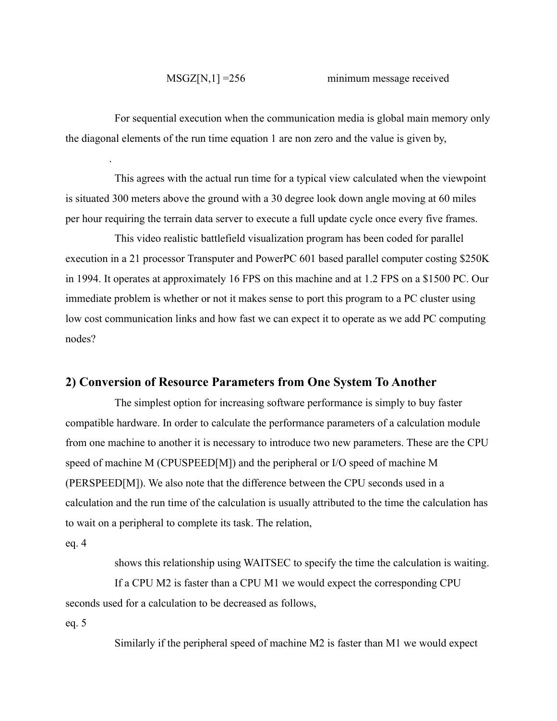#### MSGZ[N,1] =256 minimum message received

For sequential execution when the communication media is global main memory only the diagonal elements of the run time equation 1 are non zero and the value is given by,

This agrees with the actual run time for a typical view calculated when the viewpoint is situated 300 meters above the ground with a 30 degree look down angle moving at 60 miles per hour requiring the terrain data server to execute a full update cycle once every five frames.

This video realistic battlefield visualization program has been coded for parallel execution in a 21 processor Transputer and PowerPC 601 based parallel computer costing \$250K in 1994. It operates at approximately 16 FPS on this machine and at 1.2 FPS on a \$1500 PC. Our immediate problem is whether or not it makes sense to port this program to a PC cluster using low cost communication links and how fast we can expect it to operate as we add PC computing nodes?

#### **2) Conversion of Resource Parameters from One System To Another**

The simplest option for increasing software performance is simply to buy faster compatible hardware. In order to calculate the performance parameters of a calculation module from one machine to another it is necessary to introduce two new parameters. These are the CPU speed of machine M (CPUSPEED[M]) and the peripheral or I/O speed of machine M (PERSPEED[M]). We also note that the difference between the CPU seconds used in a calculation and the run time of the calculation is usually attributed to the time the calculation has to wait on a peripheral to complete its task. The relation,

eq. 4

.

shows this relationship using WAITSEC to specify the time the calculation is waiting.

If a CPU M2 is faster than a CPU M1 we would expect the corresponding CPU seconds used for a calculation to be decreased as follows,

eq. 5

Similarly if the peripheral speed of machine M2 is faster than M1 we would expect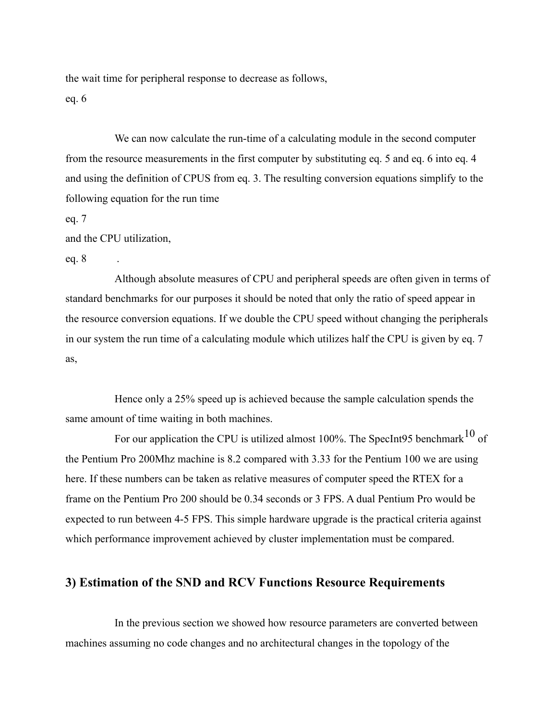the wait time for peripheral response to decrease as follows, eq. 6

We can now calculate the run-time of a calculating module in the second computer from the resource measurements in the first computer by substituting eq. 5 and eq. 6 into eq. 4 and using the definition of CPUS from eq. 3. The resulting conversion equations simplify to the following equation for the run time

eq. 7

and the CPU utilization,

eq. 8 .

Although absolute measures of CPU and peripheral speeds are often given in terms of standard benchmarks for our purposes it should be noted that only the ratio of speed appear in the resource conversion equations. If we double the CPU speed without changing the peripherals in our system the run time of a calculating module which utilizes half the CPU is given by eq. 7 as,

Hence only a 25% speed up is achieved because the sample calculation spends the same amount of time waiting in both machines.

For our application the CPU is utilized almost 100%. The SpecInt95 benchmark<sup>10</sup> of the Pentium Pro 200Mhz machine is 8.2 compared with 3.33 for the Pentium 100 we are using here. If these numbers can be taken as relative measures of computer speed the RTEX for a frame on the Pentium Pro 200 should be 0.34 seconds or 3 FPS. A dual Pentium Pro would be expected to run between 4-5 FPS. This simple hardware upgrade is the practical criteria against which performance improvement achieved by cluster implementation must be compared.

## **3) Estimation of the SND and RCV Functions Resource Requirements**

In the previous section we showed how resource parameters are converted between machines assuming no code changes and no architectural changes in the topology of the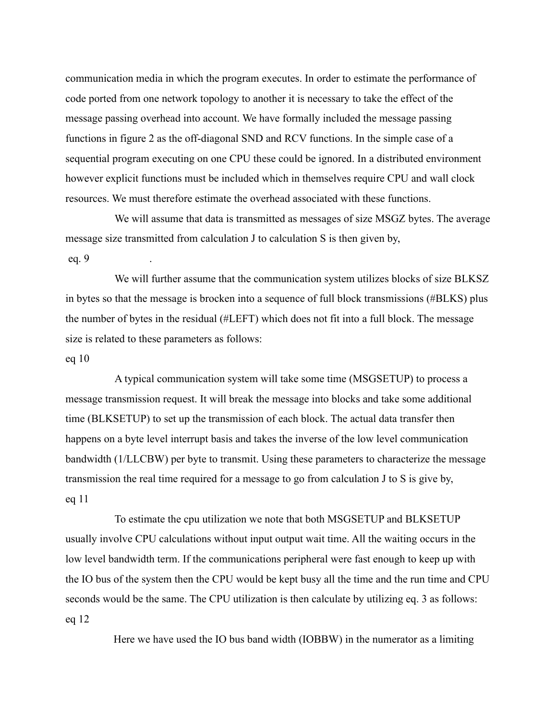communication media in which the program executes. In order to estimate the performance of code ported from one network topology to another it is necessary to take the effect of the message passing overhead into account. We have formally included the message passing functions in figure 2 as the off-diagonal SND and RCV functions. In the simple case of a sequential program executing on one CPU these could be ignored. In a distributed environment however explicit functions must be included which in themselves require CPU and wall clock resources. We must therefore estimate the overhead associated with these functions.

We will assume that data is transmitted as messages of size MSGZ bytes. The average message size transmitted from calculation J to calculation S is then given by, eq. 9 .

We will further assume that the communication system utilizes blocks of size BLKSZ in bytes so that the message is brocken into a sequence of full block transmissions (#BLKS) plus the number of bytes in the residual (#LEFT) which does not fit into a full block. The message size is related to these parameters as follows:

#### eq 10

A typical communication system will take some time (MSGSETUP) to process a message transmission request. It will break the message into blocks and take some additional time (BLKSETUP) to set up the transmission of each block. The actual data transfer then happens on a byte level interrupt basis and takes the inverse of the low level communication bandwidth (1/LLCBW) per byte to transmit. Using these parameters to characterize the message transmission the real time required for a message to go from calculation J to S is give by, eq 11

To estimate the cpu utilization we note that both MSGSETUP and BLKSETUP usually involve CPU calculations without input output wait time. All the waiting occurs in the low level bandwidth term. If the communications peripheral were fast enough to keep up with the IO bus of the system then the CPU would be kept busy all the time and the run time and CPU seconds would be the same. The CPU utilization is then calculate by utilizing eq. 3 as follows: eq 12

Here we have used the IO bus band width (IOBBW) in the numerator as a limiting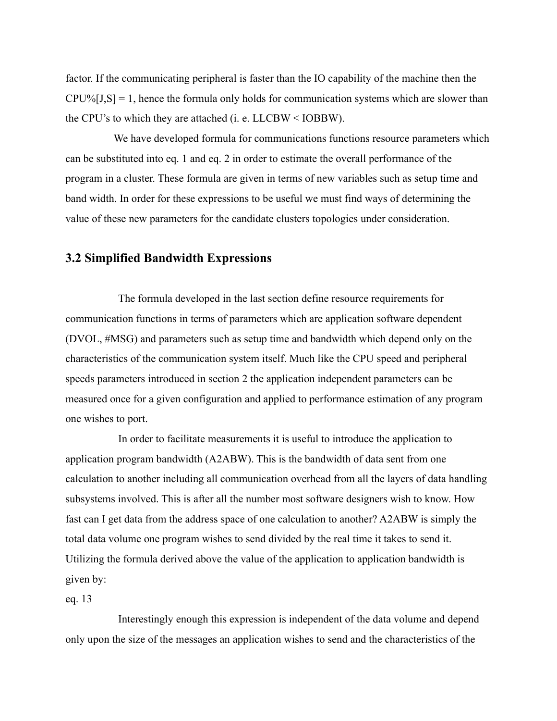factor. If the communicating peripheral is faster than the IO capability of the machine then the  $CPU\%[J,S] = 1$ , hence the formula only holds for communication systems which are slower than the CPU's to which they are attached (i. e. LLCBW < IOBBW).

We have developed formula for communications functions resource parameters which can be substituted into eq. 1 and eq. 2 in order to estimate the overall performance of the program in a cluster. These formula are given in terms of new variables such as setup time and band width. In order for these expressions to be useful we must find ways of determining the value of these new parameters for the candidate clusters topologies under consideration.

#### **3.2 Simplified Bandwidth Expressions**

The formula developed in the last section define resource requirements for communication functions in terms of parameters which are application software dependent (DVOL, #MSG) and parameters such as setup time and bandwidth which depend only on the characteristics of the communication system itself. Much like the CPU speed and peripheral speeds parameters introduced in section 2 the application independent parameters can be measured once for a given configuration and applied to performance estimation of any program one wishes to port.

In order to facilitate measurements it is useful to introduce the application to application program bandwidth (A2ABW). This is the bandwidth of data sent from one calculation to another including all communication overhead from all the layers of data handling subsystems involved. This is after all the number most software designers wish to know. How fast can I get data from the address space of one calculation to another? A2ABW is simply the total data volume one program wishes to send divided by the real time it takes to send it. Utilizing the formula derived above the value of the application to application bandwidth is given by:

eq. 13

Interestingly enough this expression is independent of the data volume and depend only upon the size of the messages an application wishes to send and the characteristics of the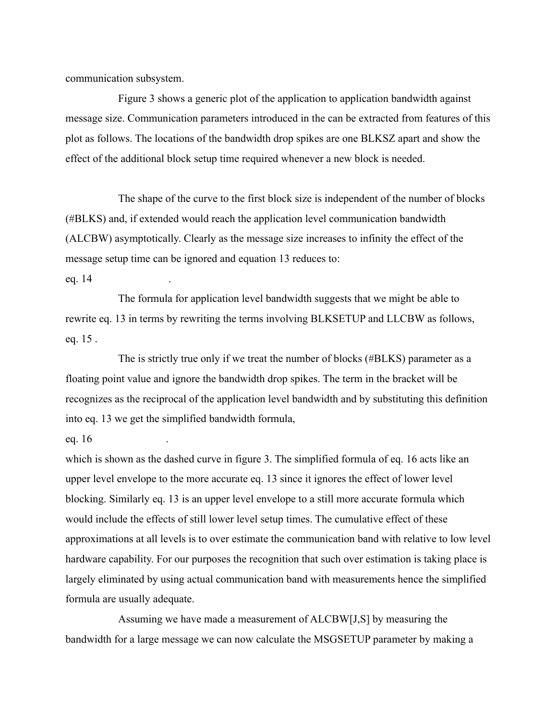communication subsystem.

Figure 3 shows a generic plot of the application to application bandwidth against message size. Communication parameters introduced in the can be extracted from features of this plot as follows. The locations of the bandwidth drop spikes are one BLKSZ apart and show the effect of the additional block setup time required whenever a new block is needed.

The shape of the curve to the first block size is independent of the number of blocks (#BLKS) and, if extended would reach the application level communication bandwidth (ALCBW) asymptotically. Clearly as the message size increases to infinity the effect of the message setup time can be ignored and equation 13 reduces to:

eq. 14 .

The formula for application level bandwidth suggests that we might be able to rewrite eq. 13 in terms by rewriting the terms involving BLKSETUP and LLCBW as follows, eq. 15 .

The is strictly true only if we treat the number of blocks (#BLKS) parameter as a floating point value and ignore the bandwidth drop spikes. The term in the bracket will be recognizes as the reciprocal of the application level bandwidth and by substituting this definition into eq. 13 we get the simplified bandwidth formula,

eq. 16 .

which is shown as the dashed curve in figure 3. The simplified formula of eq. 16 acts like an upper level envelope to the more accurate eq. 13 since it ignores the effect of lower level blocking. Similarly eq. 13 is an upper level envelope to a still more accurate formula which would include the effects of still lower level setup times. The cumulative effect of these approximations at all levels is to over estimate the communication band with relative to low level hardware capability. For our purposes the recognition that such over estimation is taking place is largely eliminated by using actual communication band with measurements hence the simplified formula are usually adequate.

Assuming we have made a measurement of ALCBW[J,S] by measuring the bandwidth for a large message we can now calculate the MSGSETUP parameter by making a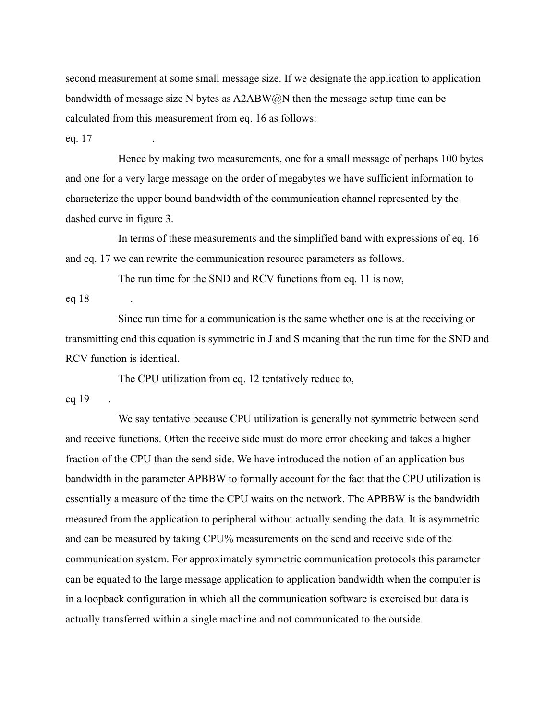second measurement at some small message size. If we designate the application to application bandwidth of message size N bytes as  $A2ABW@N$  then the message setup time can be calculated from this measurement from eq. 16 as follows:

eq. 17

Hence by making two measurements, one for a small message of perhaps 100 bytes and one for a very large message on the order of megabytes we have sufficient information to characterize the upper bound bandwidth of the communication channel represented by the dashed curve in figure 3.

In terms of these measurements and the simplified band with expressions of eq. 16 and eq. 17 we can rewrite the communication resource parameters as follows.

The run time for the SND and RCV functions from eq. 11 is now,

eq 18

Since run time for a communication is the same whether one is at the receiving or transmitting end this equation is symmetric in J and S meaning that the run time for the SND and RCV function is identical.

The CPU utilization from eq. 12 tentatively reduce to, eq 19

We say tentative because CPU utilization is generally not symmetric between send and receive functions. Often the receive side must do more error checking and takes a higher fraction of the CPU than the send side. We have introduced the notion of an application bus bandwidth in the parameter APBBW to formally account for the fact that the CPU utilization is essentially a measure of the time the CPU waits on the network. The APBBW is the bandwidth measured from the application to peripheral without actually sending the data. It is asymmetric and can be measured by taking CPU% measurements on the send and receive side of the communication system. For approximately symmetric communication protocols this parameter can be equated to the large message application to application bandwidth when the computer is in a loopback configuration in which all the communication software is exercised but data is actually transferred within a single machine and not communicated to the outside.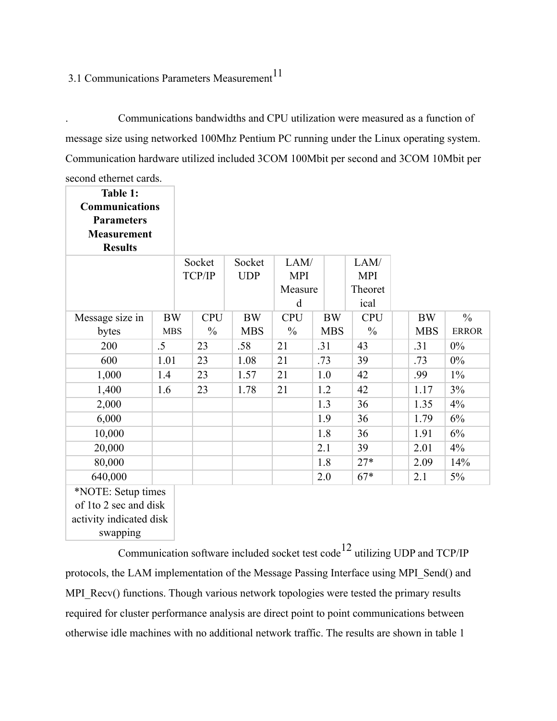# 3.1 Communications Parameters Measurement $11$

. Communications bandwidths and CPU utilization were measured as a function of message size using networked 100Mhz Pentium PC running under the Linux operating system. Communication hardware utilized included 3COM 100Mbit per second and 3COM 10Mbit per second ethernet cards.

| Table 1:<br><b>Communications</b><br><b>Parameters</b><br><b>Measurement</b><br><b>Results</b> |            |                  |            |                    |     |            |                    |            |               |
|------------------------------------------------------------------------------------------------|------------|------------------|------------|--------------------|-----|------------|--------------------|------------|---------------|
|                                                                                                |            | Socket<br>TCP/IP | Socket     | LAM/<br><b>MPI</b> |     |            | LAM/<br><b>MPI</b> |            |               |
|                                                                                                |            |                  | <b>UDP</b> | Measure            |     |            | Theoret            |            |               |
|                                                                                                |            |                  |            | d                  |     |            | ical               |            |               |
| Message size in                                                                                | <b>BW</b>  | <b>CPU</b>       | <b>BW</b>  | <b>CPU</b>         |     | <b>BW</b>  | <b>CPU</b>         | <b>BW</b>  | $\frac{0}{0}$ |
| bytes                                                                                          | <b>MBS</b> | $\frac{0}{0}$    | <b>MBS</b> | $\frac{0}{0}$      |     | <b>MBS</b> | $\frac{0}{0}$      | <b>MBS</b> | <b>ERROR</b>  |
| 200                                                                                            | $.5\,$     | 23               | .58        | 21                 | .31 |            | 43                 | .31        | $0\%$         |
| 600                                                                                            | 1.01       | 23               | 1.08       | 21                 | .73 |            | 39                 | .73        | $0\%$         |
| 1,000                                                                                          | 1.4        | 23               | 1.57       | 21                 | 1.0 |            | 42                 | .99        | $1\%$         |
| 1,400                                                                                          | 1.6        | 23               | 1.78       | 21                 | 1.2 |            | 42                 | 1.17       | 3%            |
| 2,000                                                                                          |            |                  |            |                    | 1.3 |            | 36                 | 1.35       | 4%            |
| 6,000                                                                                          |            |                  |            |                    | 1.9 |            | 36                 | 1.79       | 6%            |
| 10,000                                                                                         |            |                  |            |                    | 1.8 |            | 36                 | 1.91       | 6%            |
| 20,000                                                                                         |            |                  |            |                    | 2.1 |            | 39                 | 2.01       | 4%            |
| 80,000                                                                                         |            |                  |            |                    | 1.8 |            | $27*$              | 2.09       | 14%           |
| 640,000                                                                                        |            |                  |            |                    | 2.0 |            | $67*$              | 2.1        | 5%            |
| *NOTE: Setup times<br>$\alpha$ f 140 $\gamma$ and and diale                                    |            |                  |            |                    |     |            |                    |            |               |

of 1to 2 sec and disk activity indicated disk

swapping

Communication software included socket test code<sup>12</sup> utilizing UDP and TCP/IP protocols, the LAM implementation of the Message Passing Interface using MPI\_Send() and MPI\_Recv() functions. Though various network topologies were tested the primary results required for cluster performance analysis are direct point to point communications between otherwise idle machines with no additional network traffic. The results are shown in table 1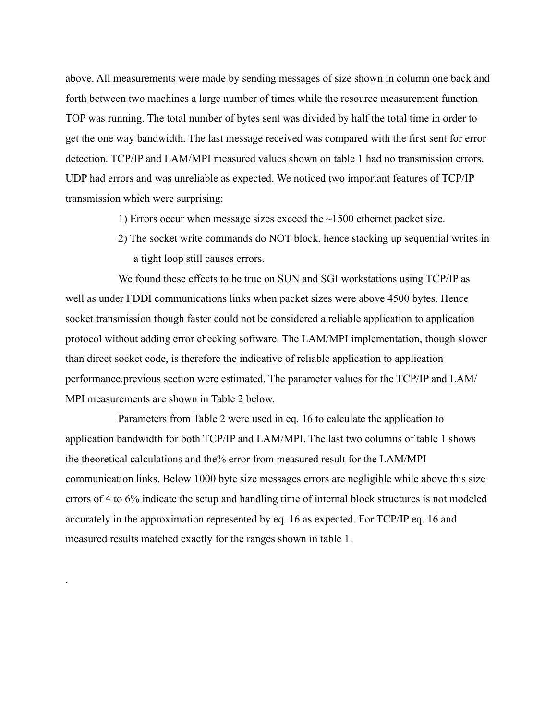above. All measurements were made by sending messages of size shown in column one back and forth between two machines a large number of times while the resource measurement function TOP was running. The total number of bytes sent was divided by half the total time in order to get the one way bandwidth. The last message received was compared with the first sent for error detection. TCP/IP and LAM/MPI measured values shown on table 1 had no transmission errors. UDP had errors and was unreliable as expected. We noticed two important features of TCP/IP transmission which were surprising:

- 1) Errors occur when message sizes exceed the ~1500 ethernet packet size.
- 2) The socket write commands do NOT block, hence stacking up sequential writes in a tight loop still causes errors.

We found these effects to be true on SUN and SGI workstations using TCP/IP as well as under FDDI communications links when packet sizes were above 4500 bytes. Hence socket transmission though faster could not be considered a reliable application to application protocol without adding error checking software. The LAM/MPI implementation, though slower than direct socket code, is therefore the indicative of reliable application to application performance.previous section were estimated. The parameter values for the TCP/IP and LAM/ MPI measurements are shown in Table 2 below.

Parameters from Table 2 were used in eq. 16 to calculate the application to application bandwidth for both TCP/IP and LAM/MPI. The last two columns of table 1 shows the theoretical calculations and the% error from measured result for the LAM/MPI communication links. Below 1000 byte size messages errors are negligible while above this size errors of 4 to 6% indicate the setup and handling time of internal block structures is not modeled accurately in the approximation represented by eq. 16 as expected. For TCP/IP eq. 16 and measured results matched exactly for the ranges shown in table 1.

.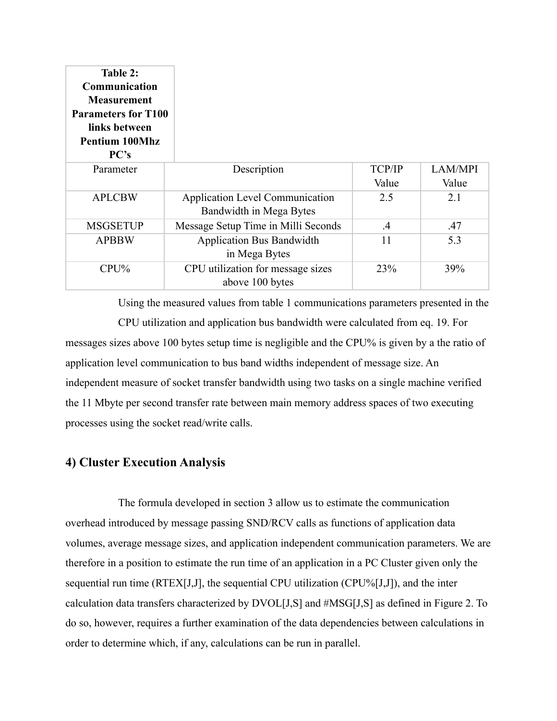| Table 2:<br>Communication<br><b>Measurement</b><br><b>Parameters for T100</b><br>links between<br><b>Pentium 100Mhz</b><br>PC's |                                        |               |         |
|---------------------------------------------------------------------------------------------------------------------------------|----------------------------------------|---------------|---------|
| Parameter                                                                                                                       | Description                            | <b>TCP/IP</b> | LAM/MPI |
|                                                                                                                                 |                                        | Value         | Value   |
| <b>APLCBW</b>                                                                                                                   | <b>Application Level Communication</b> | 2.5           | 2.1     |
|                                                                                                                                 | Bandwidth in Mega Bytes                |               |         |
| <b>MSGSETUP</b>                                                                                                                 | Message Setup Time in Milli Seconds    | $\mathcal{A}$ | .47     |
| <b>APBBW</b>                                                                                                                    | <b>Application Bus Bandwidth</b>       | 11            | 5.3     |
|                                                                                                                                 | in Mega Bytes                          |               |         |
| $CPU\%$                                                                                                                         | CPU utilization for message sizes      | 23%           | 39%     |
|                                                                                                                                 | above 100 bytes                        |               |         |

Using the measured values from table 1 communications parameters presented in the CPU utilization and application bus bandwidth were calculated from eq. 19. For messages sizes above 100 bytes setup time is negligible and the CPU% is given by a the ratio of application level communication to bus band widths independent of message size. An independent measure of socket transfer bandwidth using two tasks on a single machine verified the 11 Mbyte per second transfer rate between main memory address spaces of two executing processes using the socket read/write calls.

## **4) Cluster Execution Analysis**

The formula developed in section 3 allow us to estimate the communication overhead introduced by message passing SND/RCV calls as functions of application data volumes, average message sizes, and application independent communication parameters. We are therefore in a position to estimate the run time of an application in a PC Cluster given only the sequential run time (RTEX[J,J], the sequential CPU utilization (CPU%[J,J]), and the inter calculation data transfers characterized by DVOL[J,S] and #MSG[J,S] as defined in Figure 2. To do so, however, requires a further examination of the data dependencies between calculations in order to determine which, if any, calculations can be run in parallel.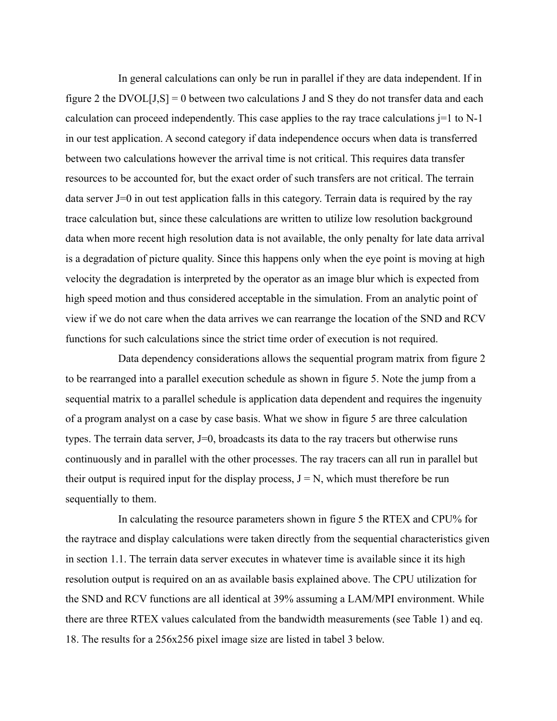In general calculations can only be run in parallel if they are data independent. If in figure 2 the DVOL $[J, S] = 0$  between two calculations J and S they do not transfer data and each calculation can proceed independently. This case applies to the ray trace calculations  $j=1$  to N-1 in our test application. A second category if data independence occurs when data is transferred between two calculations however the arrival time is not critical. This requires data transfer resources to be accounted for, but the exact order of such transfers are not critical. The terrain data server J=0 in out test application falls in this category. Terrain data is required by the ray trace calculation but, since these calculations are written to utilize low resolution background data when more recent high resolution data is not available, the only penalty for late data arrival is a degradation of picture quality. Since this happens only when the eye point is moving at high velocity the degradation is interpreted by the operator as an image blur which is expected from high speed motion and thus considered acceptable in the simulation. From an analytic point of view if we do not care when the data arrives we can rearrange the location of the SND and RCV functions for such calculations since the strict time order of execution is not required.

Data dependency considerations allows the sequential program matrix from figure 2 to be rearranged into a parallel execution schedule as shown in figure 5. Note the jump from a sequential matrix to a parallel schedule is application data dependent and requires the ingenuity of a program analyst on a case by case basis. What we show in figure 5 are three calculation types. The terrain data server, J=0, broadcasts its data to the ray tracers but otherwise runs continuously and in parallel with the other processes. The ray tracers can all run in parallel but their output is required input for the display process,  $J = N$ , which must therefore be run sequentially to them.

In calculating the resource parameters shown in figure 5 the RTEX and CPU% for the raytrace and display calculations were taken directly from the sequential characteristics given in section 1.1. The terrain data server executes in whatever time is available since it its high resolution output is required on an as available basis explained above. The CPU utilization for the SND and RCV functions are all identical at 39% assuming a LAM/MPI environment. While there are three RTEX values calculated from the bandwidth measurements (see Table 1) and eq. 18. The results for a 256x256 pixel image size are listed in tabel 3 below.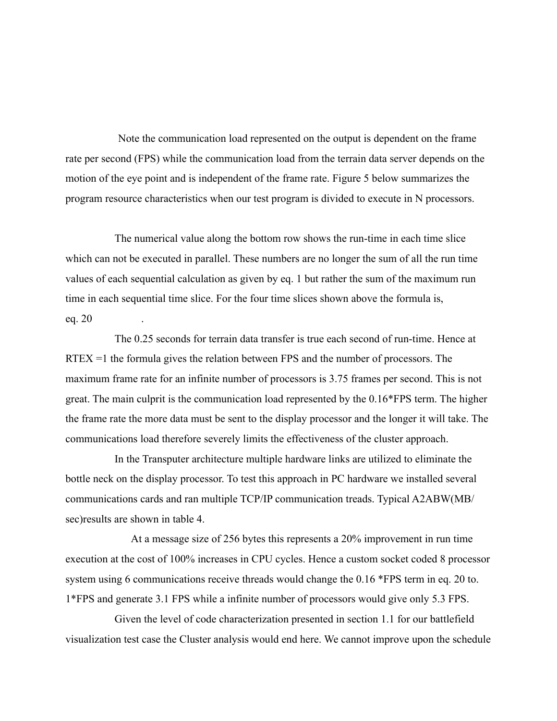Note the communication load represented on the output is dependent on the frame rate per second (FPS) while the communication load from the terrain data server depends on the motion of the eye point and is independent of the frame rate. Figure 5 below summarizes the program resource characteristics when our test program is divided to execute in N processors.

The numerical value along the bottom row shows the run-time in each time slice which can not be executed in parallel. These numbers are no longer the sum of all the run time values of each sequential calculation as given by eq. 1 but rather the sum of the maximum run time in each sequential time slice. For the four time slices shown above the formula is, eq. 20 .

The 0.25 seconds for terrain data transfer is true each second of run-time. Hence at RTEX =1 the formula gives the relation between FPS and the number of processors. The maximum frame rate for an infinite number of processors is 3.75 frames per second. This is not great. The main culprit is the communication load represented by the 0.16\*FPS term. The higher the frame rate the more data must be sent to the display processor and the longer it will take. The communications load therefore severely limits the effectiveness of the cluster approach.

In the Transputer architecture multiple hardware links are utilized to eliminate the bottle neck on the display processor. To test this approach in PC hardware we installed several communications cards and ran multiple TCP/IP communication treads. Typical A2ABW(MB/ sec)results are shown in table 4.

At a message size of 256 bytes this represents a 20% improvement in run time execution at the cost of 100% increases in CPU cycles. Hence a custom socket coded 8 processor system using 6 communications receive threads would change the 0.16 \*FPS term in eq. 20 to. 1\*FPS and generate 3.1 FPS while a infinite number of processors would give only 5.3 FPS.

Given the level of code characterization presented in section 1.1 for our battlefield visualization test case the Cluster analysis would end here. We cannot improve upon the schedule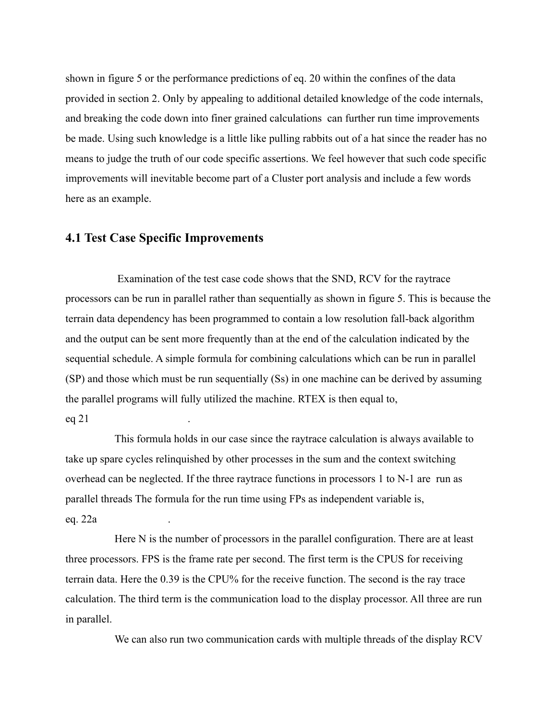shown in figure 5 or the performance predictions of eq. 20 within the confines of the data provided in section 2. Only by appealing to additional detailed knowledge of the code internals, and breaking the code down into finer grained calculations can further run time improvements be made. Using such knowledge is a little like pulling rabbits out of a hat since the reader has no means to judge the truth of our code specific assertions. We feel however that such code specific improvements will inevitable become part of a Cluster port analysis and include a few words here as an example.

## **4.1 Test Case Specific Improvements**

 Examination of the test case code shows that the SND, RCV for the raytrace processors can be run in parallel rather than sequentially as shown in figure 5. This is because the terrain data dependency has been programmed to contain a low resolution fall-back algorithm and the output can be sent more frequently than at the end of the calculation indicated by the sequential schedule. A simple formula for combining calculations which can be run in parallel (SP) and those which must be run sequentially (Ss) in one machine can be derived by assuming the parallel programs will fully utilized the machine. RTEX is then equal to, eq 21

This formula holds in our case since the raytrace calculation is always available to take up spare cycles relinquished by other processes in the sum and the context switching overhead can be neglected. If the three raytrace functions in processors 1 to N-1 are run as parallel threads The formula for the run time using FPs as independent variable is, eq. 22a .

Here N is the number of processors in the parallel configuration. There are at least three processors. FPS is the frame rate per second. The first term is the CPUS for receiving terrain data. Here the 0.39 is the CPU% for the receive function. The second is the ray trace calculation. The third term is the communication load to the display processor. All three are run in parallel.

We can also run two communication cards with multiple threads of the display RCV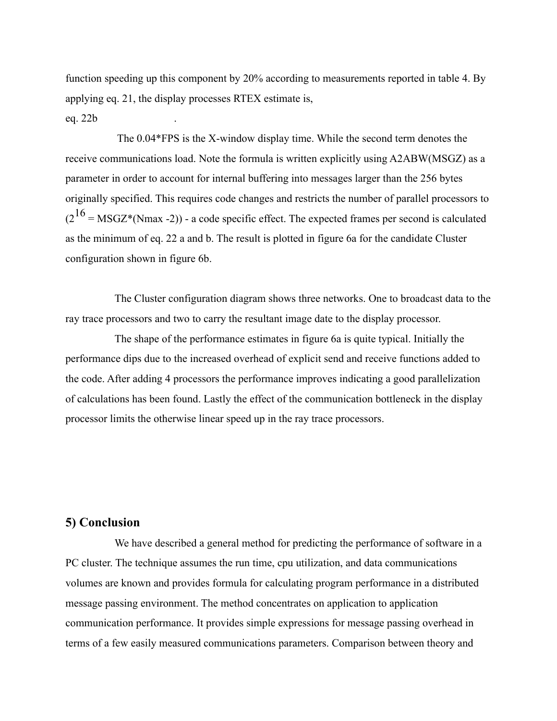function speeding up this component by 20% according to measurements reported in table 4. By applying eq. 21, the display processes RTEX estimate is,

eq. 22b .

 The 0.04\*FPS is the X-window display time. While the second term denotes the receive communications load. Note the formula is written explicitly using A2ABW(MSGZ) as a parameter in order to account for internal buffering into messages larger than the 256 bytes originally specified. This requires code changes and restricts the number of parallel processors to  $(2^{16}$  = MSGZ\*(Nmax -2)) - a code specific effect. The expected frames per second is calculated as the minimum of eq. 22 a and b. The result is plotted in figure 6a for the candidate Cluster configuration shown in figure 6b.

The Cluster configuration diagram shows three networks. One to broadcast data to the ray trace processors and two to carry the resultant image date to the display processor.

The shape of the performance estimates in figure 6a is quite typical. Initially the performance dips due to the increased overhead of explicit send and receive functions added to the code. After adding 4 processors the performance improves indicating a good parallelization of calculations has been found. Lastly the effect of the communication bottleneck in the display processor limits the otherwise linear speed up in the ray trace processors.

## **5) Conclusion**

We have described a general method for predicting the performance of software in a PC cluster. The technique assumes the run time, cpu utilization, and data communications volumes are known and provides formula for calculating program performance in a distributed message passing environment. The method concentrates on application to application communication performance. It provides simple expressions for message passing overhead in terms of a few easily measured communications parameters. Comparison between theory and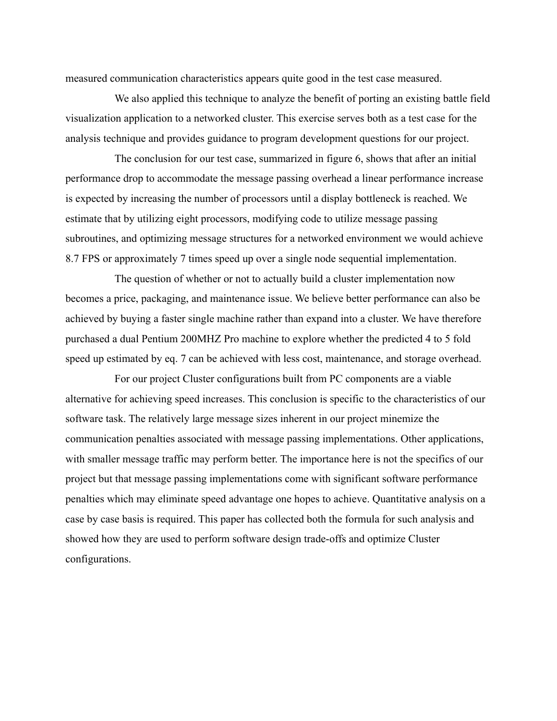measured communication characteristics appears quite good in the test case measured.

We also applied this technique to analyze the benefit of porting an existing battle field visualization application to a networked cluster. This exercise serves both as a test case for the analysis technique and provides guidance to program development questions for our project.

The conclusion for our test case, summarized in figure 6, shows that after an initial performance drop to accommodate the message passing overhead a linear performance increase is expected by increasing the number of processors until a display bottleneck is reached. We estimate that by utilizing eight processors, modifying code to utilize message passing subroutines, and optimizing message structures for a networked environment we would achieve 8.7 FPS or approximately 7 times speed up over a single node sequential implementation.

The question of whether or not to actually build a cluster implementation now becomes a price, packaging, and maintenance issue. We believe better performance can also be achieved by buying a faster single machine rather than expand into a cluster. We have therefore purchased a dual Pentium 200MHZ Pro machine to explore whether the predicted 4 to 5 fold speed up estimated by eq. 7 can be achieved with less cost, maintenance, and storage overhead.

For our project Cluster configurations built from PC components are a viable alternative for achieving speed increases. This conclusion is specific to the characteristics of our software task. The relatively large message sizes inherent in our project minemize the communication penalties associated with message passing implementations. Other applications, with smaller message traffic may perform better. The importance here is not the specifics of our project but that message passing implementations come with significant software performance penalties which may eliminate speed advantage one hopes to achieve. Quantitative analysis on a case by case basis is required. This paper has collected both the formula for such analysis and showed how they are used to perform software design trade-offs and optimize Cluster configurations.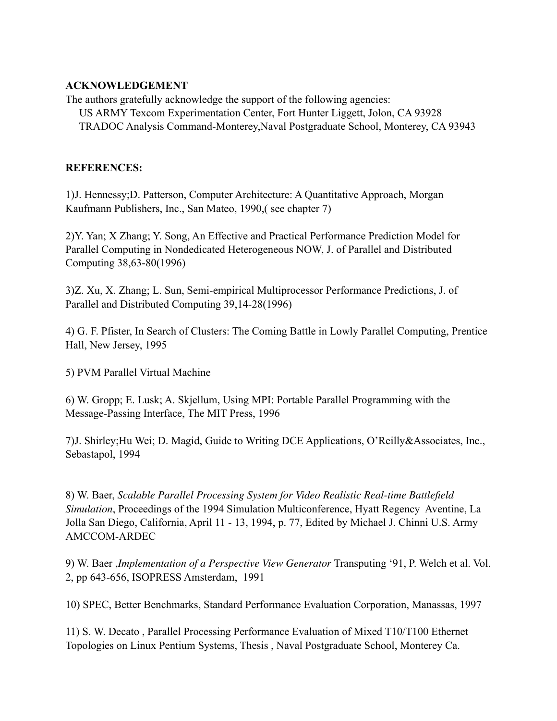### **ACKNOWLEDGEMENT**

The authors gratefully acknowledge the support of the following agencies: US ARMY Texcom Experimentation Center, Fort Hunter Liggett, Jolon, CA 93928 TRADOC Analysis Command-Monterey,Naval Postgraduate School, Monterey, CA 93943

## **REFERENCES:**

1)J. Hennessy;D. Patterson, Computer Architecture: A Quantitative Approach, Morgan Kaufmann Publishers, Inc., San Mateo, 1990,( see chapter 7)

2)Y. Yan; X Zhang; Y. Song, An Effective and Practical Performance Prediction Model for Parallel Computing in Nondedicated Heterogeneous NOW, J. of Parallel and Distributed Computing 38,63-80(1996)

3)Z. Xu, X. Zhang; L. Sun, Semi-empirical Multiprocessor Performance Predictions, J. of Parallel and Distributed Computing 39,14-28(1996)

4) G. F. Pfister, In Search of Clusters: The Coming Battle in Lowly Parallel Computing, Prentice Hall, New Jersey, 1995

5) PVM Parallel Virtual Machine

6) W. Gropp; E. Lusk; A. Skjellum, Using MPI: Portable Parallel Programming with the Message-Passing Interface, The MIT Press, 1996

7)J. Shirley;Hu Wei; D. Magid, Guide to Writing DCE Applications, O'Reilly&Associates, Inc., Sebastapol, 1994

8) W. Baer, *Scalable Parallel Processing System for Video Realistic Real-time Battlefield Simulation*, Proceedings of the 1994 Simulation Multiconference, Hyatt Regency Aventine, La Jolla San Diego, California, April 11 - 13, 1994, p. 77, Edited by Michael J. Chinni U.S. Army AMCCOM-ARDEC

9) W. Baer ,*Implementation of a Perspective View Generator* Transputing '91, P. Welch et al. Vol. 2, pp 643-656, ISOPRESS Amsterdam, 1991

10) SPEC, Better Benchmarks, Standard Performance Evaluation Corporation, Manassas, 1997

11) S. W. Decato , Parallel Processing Performance Evaluation of Mixed T10/T100 Ethernet Topologies on Linux Pentium Systems, Thesis , Naval Postgraduate School, Monterey Ca.